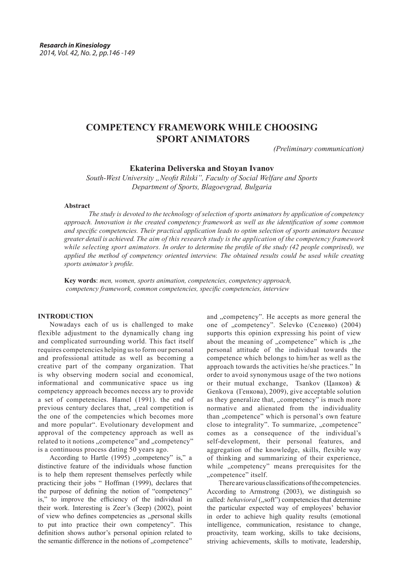# **COMPETENCY FRAMEWORK WHILE CHOOSING SPORT ANIMATORS**

*(Preliminary communication)*

**Ekaterina Deliverska and Stoyan Ivanov** 

*South-West University "Neofit Rilski", Faculty of Social Welfare and Sports Department of Sports, Blagoevgrad, Bulgaria*

#### **Abstract**

*The study is devoted to the technology of selection of sports animators by application of competency approach. Innovation is the created competency framework as well as the identification of some common and specific competencies. Their practical application leads to optim selection of sports animators because greater detail is achieved. The aim of this research study is the application of the competency framework while selecting sport animators. In order to determine the profile of the study (42 people comprised), we applied the method of competency oriented interview. The obtained results could be used while creating sports animator's profile.*

**Key words**: *men, women, sports animation, competencies, competency approach, competency framework, common competencies, specific competencies, interview*

### **INTRODUCTION**

Nowadays each of us is challenged to make flexible adjustment to the dynamically chang ing and complicated surrounding world. This fact itself requires competencies helping us to form our personal and professional attitude as well as becoming a creative part of the company organization. That is why observing modern social and economical, informational and communicative space us ing competency approach becomes necess ary to provide a set of competencies. Hamel (1991). the end of previous century declares that, "real competition is the one of the competencies which becomes more and more popular". Evolutionary development and approval of the competency approach as well as related to it notions "competence" and "competency" is a continuous process dating 50 years ago.

According to Hartle  $(1995)$ , competency" is," a distinctive feature of the individuals whose function is to help them represent themselves perfectly while practicing their jobs " Hoffman (1999), declares that the purpose of defining the notion of "competency" is," to improve the efficiency of the individual in their work. Interesting is Zeer's (Зеер) (2002), point of view who defines competencies as "personal skills to put into practice their own competency". This definition shows author's personal opinion related to the semantic difference in the notions of "competence"

and "competency". He accepts as more general the one of "competency". Selevko (Селевко) (2004) supports this opinion expressing his point of view about the meaning of "competence" which is "the personal attitude of the individual towards the competence which belongs to him/her as well as the approach towards the activities he/she practices." In order to avoid synonymous usage of the two notions or their mutual exchange, Tsankov (Цанков) & Genkova (Генкова), 2009), give acceptable solution as they generalize that, "competency" is much more normative and alienated from the individuality than "competence" which is personal's own feature close to integrality". To summarize, "competence" comes as a consequence of the individual's self-development, their personal features, and aggregation of the knowledge, skills, flexible way of thinking and summarizing of their experience, while "competency" means prerequisites for the ..competence" itself.

There are various classifications of the competencies. According to Armstrong (2003), we distinguish so called: *behavioral* ("soft") competencies that determine the particular expected way of employees' behavior in order to achieve high quality results (emotional intelligence, communication, resistance to change, proactivity, team working, skills to take decisions, striving achievements, skills to motivate, leadership,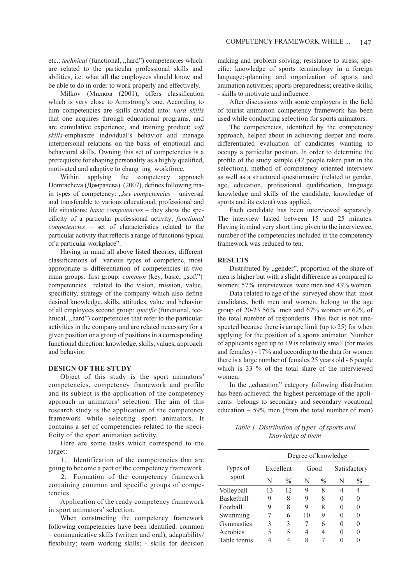etc.; *technical* (functional, "hard") competencies which are related to the particular professional skills and abilities, i.e. what all the employees should know and be able to do in order to work properly and effectively.

Milkov (Милков (2001), offers classification which is very close to Armstrong's one. According to him competencies are skills divided into: *hard skills* that one acquires through educational programs, and are cumulative experience, and training product; *soft skills-*emphasize individual's behavior and manage interpersonal relations on the basis of emotional and behavioral skills. Owning this set of competencies is a prerequisite for shaping personality as a highly qualified, motivated and adaptive to chang ing workforce.

Within applying the competency approach Domracheva (Домрачева) (2007), defines following main types of competency: "*key competencies* – universal and transferable to various educational, professional and life situations; *basic competencies* – they show the specificity of a particular professional activity; *functional competencies* – set of characteristics related to the particular activity that reflects a range of functions typical of a particular workplace".

Having in mind all above listed theories, different classifications of various types of competenc, most appropriate is differentiation of competencies in two main groups: first group: *common* (key, basic, "soft") competencies related to the vision, mission, value, specificity, strategy of the company which also define desired knowledge, skills, attitudes, value and behavior of all employees second group: *specific* (functional, technical, "hard") competencies that refer to the particular activities in the company and are related necessary for a given position or a group of positions in a corresponding functional direction: knowledge, skills, values, approach and behavior.

#### **DESIGN OF THE STUDY**

Object of this study is the sport animators' competencies, competency framework and profile and its subject is the application of the competency approach in animators' selection. The aim of this research study is the application of the competency framework while selecting sport animators. It contains a set of competencies related to the specificity of the sport animation activity.

Here are some tasks which correspond to the target:

1. Identification of the competencies that are going to become a part of the competency framework.

2. Formation of the competency framework containing common and specific groups of competencies.

Application of the ready competency framework in sport animators' selection.

When constructing the competency framework following competencies have been identified: common – communicative skills (written and oral); adaptability/ flexibility; team working skills; - skills for decision

making and problem solving; resistance to stress; specific: knowledge of sports terminology in a foreign language;-planning and organization of sports and animation activities; sports preparedness; creative skills; - skills to motivate and influence.

After discussions with some employers in the field of tourist animation competency framework has been used while conducting selection for sports animators.

The competencies, identified by the competency approach, helped about in achieving deeper and more differentiated evaluation of candidates wanting to occupy a particular position. In order to determine the profile of the study sample (42 people taken part in the selection), method of competency oriented interview as well as a structured questionnaire (related to gender, age, education, professional qualification, language knowledge and skills of the candidate, knowledge of sports and its extent) was applied.

Each candidate has been interviewed separately. The interview lasted between 15 and 25 minutes. Having in mind very short time given to the interviewee, number of the competencies included in the competency framework was reduced to ten.

#### **RESULTS**

Distributed by "gender", proportion of the share of men is higher but with a slight difference as compared to women; 57% interviewees were men and 43% women.

Data related to age of the surveyed show that most candidates, both men and women, belong to the age group of 20-23 56% men and 67% women or 62% of the total number of respondents. This fact is not unexpected because there is an age limit (up to 25) for when applying for the position of a sports animator. Number of applicants aged up to 19 is relatively small (for males and females) - 17% and according to the data for women there is a large number of females 25 years old - 6 people which is 33 % of the total share of the interviewed women.

In the *ducation*" category following distribution has been achieved: the highest percentage of the applicants belongs to secondary and secondary vocational education  $-59\%$  men (from the total number of men)

*Table 1. Distribution of types of sports and knowledge of them*

|                   | Degree of knowledge |      |      |      |              |              |  |
|-------------------|---------------------|------|------|------|--------------|--------------|--|
| Types of<br>sport | Excellent           |      | Good |      |              | Satisfactory |  |
|                   | N                   | $\%$ | N    | $\%$ | N            | $\%$         |  |
| Volleyball        | 13                  | 12   | 9    | 8    |              |              |  |
| Basketball        | 9                   | 8    | 9    | 8    | $\mathbf{0}$ |              |  |
| Football          | 9                   | 8    | 9    | 8    | $\mathbf{0}$ |              |  |
| Swimming          |                     | 6    | 10   | 9    |              |              |  |
| Gymnastics        | 3                   | 3    |      | 6    |              |              |  |
| Aerobics          | 5                   | 5    | 4    | 4    |              |              |  |
| Table tennis      |                     |      | 8    |      |              |              |  |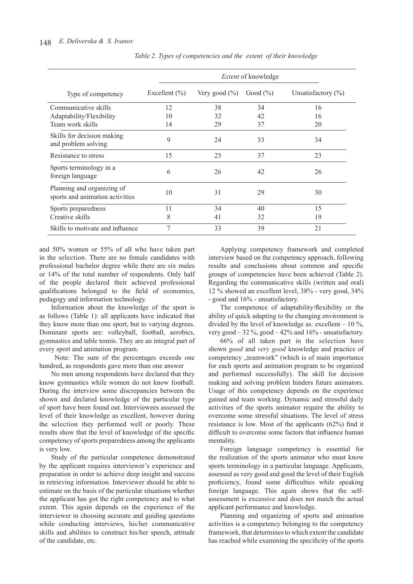|                                                               | <i>Extent</i> of knowledge |                   |              |                        |  |  |
|---------------------------------------------------------------|----------------------------|-------------------|--------------|------------------------|--|--|
| Type of competency                                            | Excellent $(\% )$          | Very good $(\% )$ | Good $(\% )$ | Unsatisfactory $(\% )$ |  |  |
| Communicative skills                                          | 12                         | 38                | 34           | 16                     |  |  |
| Adaptability/Flexibility                                      | 10                         | 32                | 42           | 16                     |  |  |
| Team work skills                                              | 14                         | 29                | 37           | 20                     |  |  |
| Skills for decision making<br>and problem solving             | 9                          | 24                | 33           | 34                     |  |  |
| Resistance to stress                                          | 15                         | 25                | 37           | 23                     |  |  |
| Sports terminology in a<br>foreign language                   | 6                          | 26                | 42           | 26                     |  |  |
| Planning and organizing of<br>sports and animation activities | 10                         | 31                | 29           | 30                     |  |  |
| Sports preparedness                                           | 11                         | 34                | 40           | 15                     |  |  |
| Creative skills                                               | 8                          | 41                | 32           | 19                     |  |  |
| Skills to motivate and influence                              | 7                          | 33                | 39           | 21                     |  |  |

*Table 2. Types of competencies and the extent of their knowledge*

and 50% women or 55% of all who have taken part in the selection. There are no female candidates with professional bachelor degree while there are six males or 14% of the total number of respondents. Only half of the people declared their achieved professional qualifications belonged to the field of economics, pedagogy and information technology.

Information about the knowledge of the sport is as follows (Table 1): all applicants have indicated that they know more than one sport, but to varying degrees. Dominant sports are: volleyball, football, aerobics, gymnastics and table tennis. They are an integral part of every sport and animation program.

Note: The sum of the percentages exceeds one hundred, as respondents gave more than one answer

No men among respondents have declared that they know gymnastics while women do not know football. During the interview some discrepancies between the shown and declared knowledge of the particular type of sport have been found out. Interviewees assessed the level of their knowledge as excellent, however during the selection they performed well or poorly. These results show that the level of knowledge of the specific competency of sports preparedness among the applicants is very low.

Study of the particular competence demonstrated by the applicant requires interviewer's experience and preparation in order to achieve deep insight and success in retrieving information. Interviewer should be able to estimate on the basis of the particular situations whether the applicant has got the right competency and to what extent. This again depends on the experience of the interviewer in choosing accurate and guiding questions while conducting interviews, his/her communicative skills and abilities to construct his/her speech, attitude of the candidate, etc.

Applying competency framework and completed interview based on the competency approach, following results and conclusions about common and specific groups of competencies have been achieved (Table 2). Regarding the communicative skills (written and oral) 12 % showed an excellent level, 38% - very good, 34% - good and 16% - unsatisfactory.

The competence of adaptability/flexibility or the ability of quick adapting to the changing environment is divided by the level of knowledge as: excellent  $-10\%$ , very good  $-32\%$ , good  $-42\%$  and  $16\%$  - unsatisfactory.

66% of all taken part in the selection have shown *good* and *very good* knowledge and practice of competency "teamwork" (which is of main importance for each sports and animation program to be organized and performed successfully). The skill for decision making and solving problem hinders future animators. Usage of this competency depends on the experience gained and team working. Dynamic and stressful daily activities of the sports animator require the ability to overcome some stressful situations. The level of stress resistance is low. Most of the applicants (62%) find it difficult to overcome some factors that influence human mentality.

Foreign language competency is essential for the realization of the sports animator who must know sports terminology in a particular language. Applicants, assessed as very good and good the level of their English proficiency, found some difficulties while speaking foreign language. This again shows that the selfassessment is excessive and does not match the actual applicant performance and knowledge.

Planning and organizing of sports and animation activities is a competency belonging to the competency framework, that determines to which extent the candidate has reached while examining the specificity of the sports